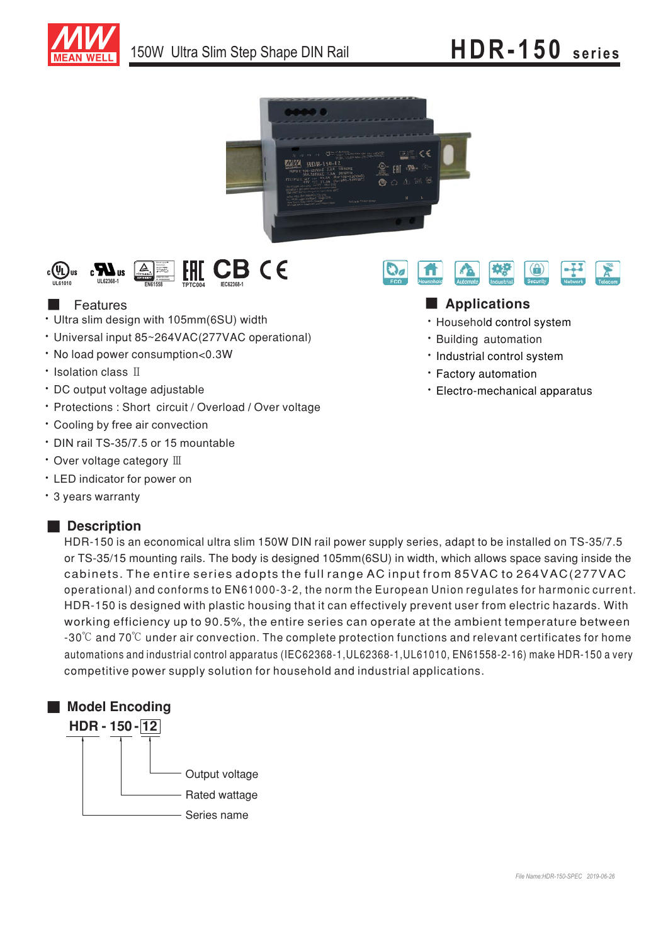





# **Features**

- Ultra slim design with 105mm(6SU) width
- Universal input 85~264VAC(277VAC operational)
- No load power consumption<0.3W
- Isolation class II
- DC output voltage adjustable
- Protections : Short circuit / Overload / Over voltage
- Cooling by free air convection
- $\cdot$  DIN rail TS-35/7.5 or 15 mountable
- Over voltage category  $\mathbb I\mathbb I$
- LED indicator for power on
- \* 3 years warranty

## ■ **Description**

HDR-150 is an economical ultra slim 150W DIN rail power supply series, adapt to be installed on TS-35/7.5 or TS-35/15 mounting rails. The body is designed 105mm(6SU) in width, which allows space saving inside the cabinets. The entire series adopts the full range AC input from 85VAC to 264VAC(277VAC operational) and conforms to EN61000-3-2, the norm the European Union regulates for harmonic current. HDR-150 is designed with plastic housing that it can effectively prevent user from electric hazards. With working efficiency up to 90.5%, the entire series can operate at the ambient temperature between -30℃ and 70℃ under air convection. The complete protection functions and relevant certificates for homeautomations and industrial control apparatus (IEC62368-1,UL62368-1,UL61010, EN61558-2-16) make HDR-150 a very competitive power supply solution for household and industrial applications.





# ■ **Applications**

- · Household control system
- · Building automation
- · Industrial control system
- Factory automation
- Electro-mechanical apparatus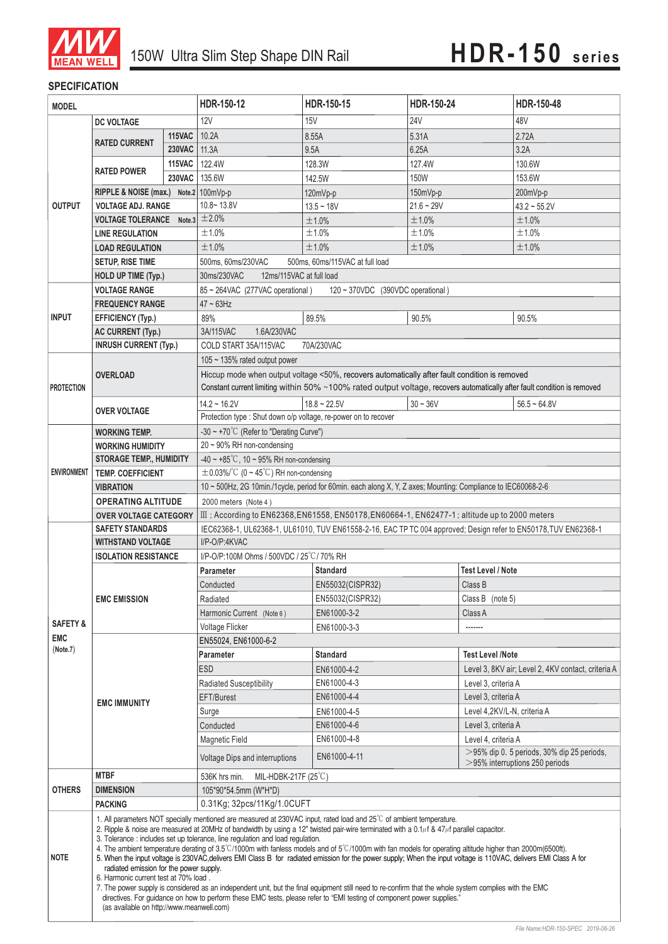

### **SPECIFICATION**

| <b>MODEL</b>        |                                                                                                                                                                                                                                                                                                                                                                                                                                                                                                                                                                                                                                                                                                                                                                                                                                                                                                                                                                                                                                                                                                                                        | HDR-150-12    | HDR-150-15                                                                                                       | HDR-150-24                                                                                                                                                                                                                |                     | HDR-150-48                                                                         |                                                    |  |
|---------------------|----------------------------------------------------------------------------------------------------------------------------------------------------------------------------------------------------------------------------------------------------------------------------------------------------------------------------------------------------------------------------------------------------------------------------------------------------------------------------------------------------------------------------------------------------------------------------------------------------------------------------------------------------------------------------------------------------------------------------------------------------------------------------------------------------------------------------------------------------------------------------------------------------------------------------------------------------------------------------------------------------------------------------------------------------------------------------------------------------------------------------------------|---------------|------------------------------------------------------------------------------------------------------------------|---------------------------------------------------------------------------------------------------------------------------------------------------------------------------------------------------------------------------|---------------------|------------------------------------------------------------------------------------|----------------------------------------------------|--|
|                     | <b>DC VOLTAGE</b>                                                                                                                                                                                                                                                                                                                                                                                                                                                                                                                                                                                                                                                                                                                                                                                                                                                                                                                                                                                                                                                                                                                      |               | <b>12V</b>                                                                                                       | <b>15V</b>                                                                                                                                                                                                                | <b>24V</b>          |                                                                                    | 48V                                                |  |
| <b>OUTPUT</b>       |                                                                                                                                                                                                                                                                                                                                                                                                                                                                                                                                                                                                                                                                                                                                                                                                                                                                                                                                                                                                                                                                                                                                        | 115VAC        | 10.2A                                                                                                            | 8.55A                                                                                                                                                                                                                     | 5.31A               |                                                                                    | 2.72A                                              |  |
|                     | <b>RATED CURRENT</b>                                                                                                                                                                                                                                                                                                                                                                                                                                                                                                                                                                                                                                                                                                                                                                                                                                                                                                                                                                                                                                                                                                                   | <b>230VAC</b> | 11.3A                                                                                                            | 9.5A                                                                                                                                                                                                                      | 6.25A               |                                                                                    | 3.2A                                               |  |
|                     |                                                                                                                                                                                                                                                                                                                                                                                                                                                                                                                                                                                                                                                                                                                                                                                                                                                                                                                                                                                                                                                                                                                                        | 115VAC        | 122.4W                                                                                                           | 128.3W                                                                                                                                                                                                                    | 127.4W              |                                                                                    | 130.6W                                             |  |
|                     | <b>RATED POWER</b>                                                                                                                                                                                                                                                                                                                                                                                                                                                                                                                                                                                                                                                                                                                                                                                                                                                                                                                                                                                                                                                                                                                     | <b>230VAC</b> | 135.6W                                                                                                           | 142.5W                                                                                                                                                                                                                    | <b>150W</b>         |                                                                                    | 153.6W                                             |  |
|                     | RIPPLE & NOISE (max.) Note.2 100mVp-p                                                                                                                                                                                                                                                                                                                                                                                                                                                                                                                                                                                                                                                                                                                                                                                                                                                                                                                                                                                                                                                                                                  |               |                                                                                                                  | 120mVp-p                                                                                                                                                                                                                  | 150mVp-p            |                                                                                    | 200mVp-p                                           |  |
|                     | <b>VOLTAGE ADJ. RANGE</b>                                                                                                                                                                                                                                                                                                                                                                                                                                                                                                                                                                                                                                                                                                                                                                                                                                                                                                                                                                                                                                                                                                              |               | $10.8 - 13.8V$                                                                                                   | $13.5 - 18V$                                                                                                                                                                                                              | $21.6 - 29V$        |                                                                                    | $43.2 \sim 55.2V$                                  |  |
|                     | <b>VOLTAGE TOLERANCE</b><br>Note.3                                                                                                                                                                                                                                                                                                                                                                                                                                                                                                                                                                                                                                                                                                                                                                                                                                                                                                                                                                                                                                                                                                     |               | ±2.0%                                                                                                            | ±1.0%                                                                                                                                                                                                                     | ±1.0%               |                                                                                    | ±1.0%                                              |  |
|                     | <b>LINE REGULATION</b>                                                                                                                                                                                                                                                                                                                                                                                                                                                                                                                                                                                                                                                                                                                                                                                                                                                                                                                                                                                                                                                                                                                 |               | ±1.0%                                                                                                            | ±1.0%                                                                                                                                                                                                                     | ±1.0%               |                                                                                    | ±1.0%                                              |  |
|                     | <b>LOAD REGULATION</b>                                                                                                                                                                                                                                                                                                                                                                                                                                                                                                                                                                                                                                                                                                                                                                                                                                                                                                                                                                                                                                                                                                                 |               | ±1.0%                                                                                                            | ±1.0%                                                                                                                                                                                                                     | ±1.0%<br>±1.0%      |                                                                                    |                                                    |  |
|                     | <b>SETUP, RISE TIME</b>                                                                                                                                                                                                                                                                                                                                                                                                                                                                                                                                                                                                                                                                                                                                                                                                                                                                                                                                                                                                                                                                                                                |               | 500ms, 60ms/230VAC<br>500ms, 60ms/115VAC at full load                                                            |                                                                                                                                                                                                                           |                     |                                                                                    |                                                    |  |
|                     | <b>HOLD UP TIME (Typ.)</b>                                                                                                                                                                                                                                                                                                                                                                                                                                                                                                                                                                                                                                                                                                                                                                                                                                                                                                                                                                                                                                                                                                             |               | 12ms/115VAC at full load<br>30ms/230VAC                                                                          |                                                                                                                                                                                                                           |                     |                                                                                    |                                                    |  |
|                     | <b>VOLTAGE RANGE</b>                                                                                                                                                                                                                                                                                                                                                                                                                                                                                                                                                                                                                                                                                                                                                                                                                                                                                                                                                                                                                                                                                                                   |               | 85 ~ 264VAC (277VAC operational)<br>120 ~ 370VDC (390VDC operational)                                            |                                                                                                                                                                                                                           |                     |                                                                                    |                                                    |  |
|                     | <b>FREQUENCY RANGE</b>                                                                                                                                                                                                                                                                                                                                                                                                                                                                                                                                                                                                                                                                                                                                                                                                                                                                                                                                                                                                                                                                                                                 |               | $47 \sim 63$ Hz                                                                                                  |                                                                                                                                                                                                                           |                     |                                                                                    |                                                    |  |
| <b>INPUT</b>        | <b>EFFICIENCY (Typ.)</b>                                                                                                                                                                                                                                                                                                                                                                                                                                                                                                                                                                                                                                                                                                                                                                                                                                                                                                                                                                                                                                                                                                               |               | 89%                                                                                                              | 89.5%                                                                                                                                                                                                                     | 90.5%               |                                                                                    | 90.5%                                              |  |
|                     | <b>AC CURRENT (Typ.)</b>                                                                                                                                                                                                                                                                                                                                                                                                                                                                                                                                                                                                                                                                                                                                                                                                                                                                                                                                                                                                                                                                                                               |               | 3A/115VAC<br>1.6A/230VAC                                                                                         |                                                                                                                                                                                                                           |                     |                                                                                    |                                                    |  |
|                     | <b>INRUSH CURRENT (Typ.)</b>                                                                                                                                                                                                                                                                                                                                                                                                                                                                                                                                                                                                                                                                                                                                                                                                                                                                                                                                                                                                                                                                                                           |               | COLD START 35A/115VAC<br>70A/230VAC                                                                              |                                                                                                                                                                                                                           |                     |                                                                                    |                                                    |  |
|                     |                                                                                                                                                                                                                                                                                                                                                                                                                                                                                                                                                                                                                                                                                                                                                                                                                                                                                                                                                                                                                                                                                                                                        |               | 105 ~ 135% rated output power                                                                                    |                                                                                                                                                                                                                           |                     |                                                                                    |                                                    |  |
| <b>PROTECTION</b>   | <b>OVERLOAD</b>                                                                                                                                                                                                                                                                                                                                                                                                                                                                                                                                                                                                                                                                                                                                                                                                                                                                                                                                                                                                                                                                                                                        |               |                                                                                                                  | Hiccup mode when output voltage <50%, recovers automatically after fault condition is removed<br>Constant current limiting within 50% ~100% rated output voltage, recovers automatically after fault condition is removed |                     |                                                                                    |                                                    |  |
|                     | <b>OVER VOLTAGE</b>                                                                                                                                                                                                                                                                                                                                                                                                                                                                                                                                                                                                                                                                                                                                                                                                                                                                                                                                                                                                                                                                                                                    |               | $14.2 - 16.2V$                                                                                                   | $18.8 \sim 22.5V$                                                                                                                                                                                                         | $30 - 36V$          |                                                                                    | $56.5 - 64.8V$                                     |  |
|                     |                                                                                                                                                                                                                                                                                                                                                                                                                                                                                                                                                                                                                                                                                                                                                                                                                                                                                                                                                                                                                                                                                                                                        |               | Protection type : Shut down o/p voltage, re-power on to recover                                                  |                                                                                                                                                                                                                           |                     |                                                                                    |                                                    |  |
|                     | <b>WORKING TEMP.</b>                                                                                                                                                                                                                                                                                                                                                                                                                                                                                                                                                                                                                                                                                                                                                                                                                                                                                                                                                                                                                                                                                                                   |               | -30 ~ +70 $^{\circ}$ C (Refer to "Derating Curve")                                                               |                                                                                                                                                                                                                           |                     |                                                                                    |                                                    |  |
|                     | <b>WORKING HUMIDITY</b>                                                                                                                                                                                                                                                                                                                                                                                                                                                                                                                                                                                                                                                                                                                                                                                                                                                                                                                                                                                                                                                                                                                |               | 20 ~ 90% RH non-condensing                                                                                       |                                                                                                                                                                                                                           |                     |                                                                                    |                                                    |  |
|                     | <b>STORAGE TEMP., HUMIDITY</b>                                                                                                                                                                                                                                                                                                                                                                                                                                                                                                                                                                                                                                                                                                                                                                                                                                                                                                                                                                                                                                                                                                         |               | $-40 \sim +85^{\circ}$ C, 10 ~ 95% RH non-condensing                                                             |                                                                                                                                                                                                                           |                     |                                                                                    |                                                    |  |
| <b>ENVIRONMENT</b>  | <b>TEMP, COEFFICIENT</b>                                                                                                                                                                                                                                                                                                                                                                                                                                                                                                                                                                                                                                                                                                                                                                                                                                                                                                                                                                                                                                                                                                               |               | $\pm$ 0.03%/°C (0 ~ 45°C) RH non-condensing                                                                      |                                                                                                                                                                                                                           |                     |                                                                                    |                                                    |  |
|                     | <b>VIBRATION</b>                                                                                                                                                                                                                                                                                                                                                                                                                                                                                                                                                                                                                                                                                                                                                                                                                                                                                                                                                                                                                                                                                                                       |               | 10 ~ 500Hz, 2G 10min./1cycle, period for 60min. each along X, Y, Z axes; Mounting: Compliance to IEC60068-2-6    |                                                                                                                                                                                                                           |                     |                                                                                    |                                                    |  |
|                     | <b>OPERATING ALTITUDE</b>                                                                                                                                                                                                                                                                                                                                                                                                                                                                                                                                                                                                                                                                                                                                                                                                                                                                                                                                                                                                                                                                                                              |               | 2000 meters (Note 4)                                                                                             |                                                                                                                                                                                                                           |                     |                                                                                    |                                                    |  |
|                     | <b>OVER VOLTAGE CATEGORY</b>                                                                                                                                                                                                                                                                                                                                                                                                                                                                                                                                                                                                                                                                                                                                                                                                                                                                                                                                                                                                                                                                                                           |               | III ; According to EN62368, EN61558, EN50178, EN60664-1, EN62477-1; altitude up to 2000 meters                   |                                                                                                                                                                                                                           |                     |                                                                                    |                                                    |  |
|                     | <b>SAFETY STANDARDS</b><br><b>WITHSTAND VOLTAGE</b>                                                                                                                                                                                                                                                                                                                                                                                                                                                                                                                                                                                                                                                                                                                                                                                                                                                                                                                                                                                                                                                                                    |               | IEC62368-1, UL62368-1, UL61010, TUV EN61558-2-16, EAC TP TC 004 approved; Design refer to EN50178, TUV EN62368-1 |                                                                                                                                                                                                                           |                     |                                                                                    |                                                    |  |
|                     | <b>ISOLATION RESISTANCE</b>                                                                                                                                                                                                                                                                                                                                                                                                                                                                                                                                                                                                                                                                                                                                                                                                                                                                                                                                                                                                                                                                                                            |               | I/P-O/P:4KVAC<br>I/P-O/P:100M Ohms / 500VDC / 25°C / 70% RH                                                      |                                                                                                                                                                                                                           |                     |                                                                                    |                                                    |  |
|                     |                                                                                                                                                                                                                                                                                                                                                                                                                                                                                                                                                                                                                                                                                                                                                                                                                                                                                                                                                                                                                                                                                                                                        |               |                                                                                                                  | <b>Standard</b>                                                                                                                                                                                                           |                     | <b>Test Level / Note</b>                                                           |                                                    |  |
|                     | <b>EMC EMISSION</b>                                                                                                                                                                                                                                                                                                                                                                                                                                                                                                                                                                                                                                                                                                                                                                                                                                                                                                                                                                                                                                                                                                                    |               | <b>Parameter</b><br>Conducted                                                                                    | EN55032(CISPR32)                                                                                                                                                                                                          |                     | Class B                                                                            |                                                    |  |
|                     |                                                                                                                                                                                                                                                                                                                                                                                                                                                                                                                                                                                                                                                                                                                                                                                                                                                                                                                                                                                                                                                                                                                                        |               | Radiated                                                                                                         | EN55032(CISPR32)                                                                                                                                                                                                          |                     |                                                                                    | Class B (note 5)                                   |  |
|                     |                                                                                                                                                                                                                                                                                                                                                                                                                                                                                                                                                                                                                                                                                                                                                                                                                                                                                                                                                                                                                                                                                                                                        |               | Harmonic Current (Note 6)                                                                                        | EN61000-3-2                                                                                                                                                                                                               |                     |                                                                                    |                                                    |  |
| <b>SAFETY &amp;</b> |                                                                                                                                                                                                                                                                                                                                                                                                                                                                                                                                                                                                                                                                                                                                                                                                                                                                                                                                                                                                                                                                                                                                        |               | Voltage Flicker                                                                                                  | EN61000-3-3                                                                                                                                                                                                               | Class A<br>-------  |                                                                                    |                                                    |  |
| <b>EMC</b>          |                                                                                                                                                                                                                                                                                                                                                                                                                                                                                                                                                                                                                                                                                                                                                                                                                                                                                                                                                                                                                                                                                                                                        |               | EN55024, EN61000-6-2                                                                                             |                                                                                                                                                                                                                           |                     |                                                                                    |                                                    |  |
| (Note.7)            | <b>EMC IMMUNITY</b>                                                                                                                                                                                                                                                                                                                                                                                                                                                                                                                                                                                                                                                                                                                                                                                                                                                                                                                                                                                                                                                                                                                    |               | Parameter                                                                                                        | <b>Standard</b>                                                                                                                                                                                                           |                     | <b>Test Level /Note</b>                                                            |                                                    |  |
|                     |                                                                                                                                                                                                                                                                                                                                                                                                                                                                                                                                                                                                                                                                                                                                                                                                                                                                                                                                                                                                                                                                                                                                        |               | <b>ESD</b>                                                                                                       | EN61000-4-2                                                                                                                                                                                                               |                     |                                                                                    | Level 3, 8KV air; Level 2, 4KV contact, criteria A |  |
|                     |                                                                                                                                                                                                                                                                                                                                                                                                                                                                                                                                                                                                                                                                                                                                                                                                                                                                                                                                                                                                                                                                                                                                        |               | Radiated Susceptibility                                                                                          | EN61000-4-3                                                                                                                                                                                                               |                     | Level 3, criteria A                                                                |                                                    |  |
|                     |                                                                                                                                                                                                                                                                                                                                                                                                                                                                                                                                                                                                                                                                                                                                                                                                                                                                                                                                                                                                                                                                                                                                        |               | EFT/Burest                                                                                                       | EN61000-4-4                                                                                                                                                                                                               | Level 3, criteria A |                                                                                    |                                                    |  |
|                     |                                                                                                                                                                                                                                                                                                                                                                                                                                                                                                                                                                                                                                                                                                                                                                                                                                                                                                                                                                                                                                                                                                                                        |               | Surge                                                                                                            | EN61000-4-5                                                                                                                                                                                                               |                     | Level 4,2KV/L-N, criteria A                                                        |                                                    |  |
|                     |                                                                                                                                                                                                                                                                                                                                                                                                                                                                                                                                                                                                                                                                                                                                                                                                                                                                                                                                                                                                                                                                                                                                        |               | Conducted                                                                                                        | EN61000-4-6                                                                                                                                                                                                               | Level 3, criteria A |                                                                                    |                                                    |  |
|                     |                                                                                                                                                                                                                                                                                                                                                                                                                                                                                                                                                                                                                                                                                                                                                                                                                                                                                                                                                                                                                                                                                                                                        |               | <b>Magnetic Field</b>                                                                                            | EN61000-4-8                                                                                                                                                                                                               | Level 4, criteria A |                                                                                    |                                                    |  |
|                     |                                                                                                                                                                                                                                                                                                                                                                                                                                                                                                                                                                                                                                                                                                                                                                                                                                                                                                                                                                                                                                                                                                                                        |               | Voltage Dips and interruptions                                                                                   | EN61000-4-11                                                                                                                                                                                                              |                     | $>$ 95% dip 0. 5 periods, 30% dip 25 periods,<br>$>$ 95% interruptions 250 periods |                                                    |  |
| <b>OTHERS</b>       | <b>MTBF</b>                                                                                                                                                                                                                                                                                                                                                                                                                                                                                                                                                                                                                                                                                                                                                                                                                                                                                                                                                                                                                                                                                                                            |               | MIL-HDBK-217F (25°C)<br>536K hrs min.                                                                            |                                                                                                                                                                                                                           |                     |                                                                                    |                                                    |  |
|                     | <b>DIMENSION</b>                                                                                                                                                                                                                                                                                                                                                                                                                                                                                                                                                                                                                                                                                                                                                                                                                                                                                                                                                                                                                                                                                                                       |               | 105*90*54.5mm (W*H*D)                                                                                            |                                                                                                                                                                                                                           |                     |                                                                                    |                                                    |  |
|                     | <b>PACKING</b>                                                                                                                                                                                                                                                                                                                                                                                                                                                                                                                                                                                                                                                                                                                                                                                                                                                                                                                                                                                                                                                                                                                         |               | 0.31Kg; 32pcs/11Kg/1.0CUFT                                                                                       |                                                                                                                                                                                                                           |                     |                                                                                    |                                                    |  |
| <b>NOTE</b>         | 1. All parameters NOT specially mentioned are measured at 230VAC input, rated load and 25°C of ambient temperature.<br>2. Ripple & noise are measured at 20MHz of bandwidth by using a 12" twisted pair-wire terminated with a 0.1 $\mu$ f & 47 $\mu$ f parallel capacitor.<br>3. Tolerance: includes set up tolerance, line regulation and load regulation.<br>4. The ambient temperature derating of $3.5^{\circ}$ C/1000m with fanless models and of $5^{\circ}$ C/1000m with fan models for operating altitude higher than 2000m(6500ft).<br>5. When the input voltage is 230VAC, delivers EMI Class B for radiated emission for the power supply; When the input voltage is 110VAC, delivers EMI Class A for<br>radiated emission for the power supply.<br>6. Harmonic current test at 70% load.<br>7. The power supply is considered as an independent unit, but the final equipment still need to re-confirm that the whole system complies with the EMC<br>directives. For guidance on how to perform these EMC tests, please refer to "EMI testing of component power supplies."<br>(as available on http://www.meanwell.com) |               |                                                                                                                  |                                                                                                                                                                                                                           |                     |                                                                                    |                                                    |  |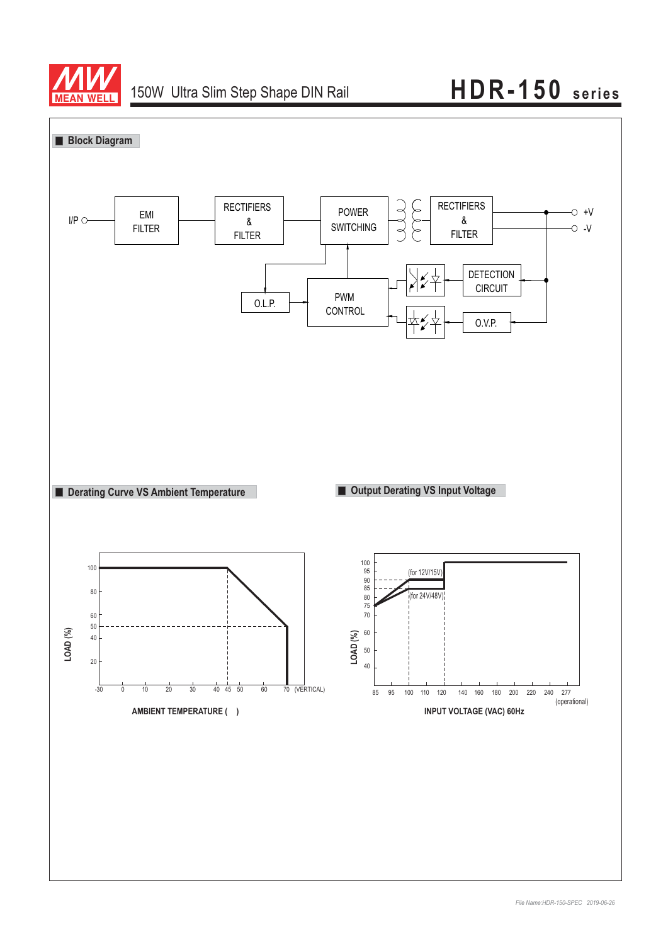

# 150W Ultra Slim Step Shape DIN Rail **HDR-150** series